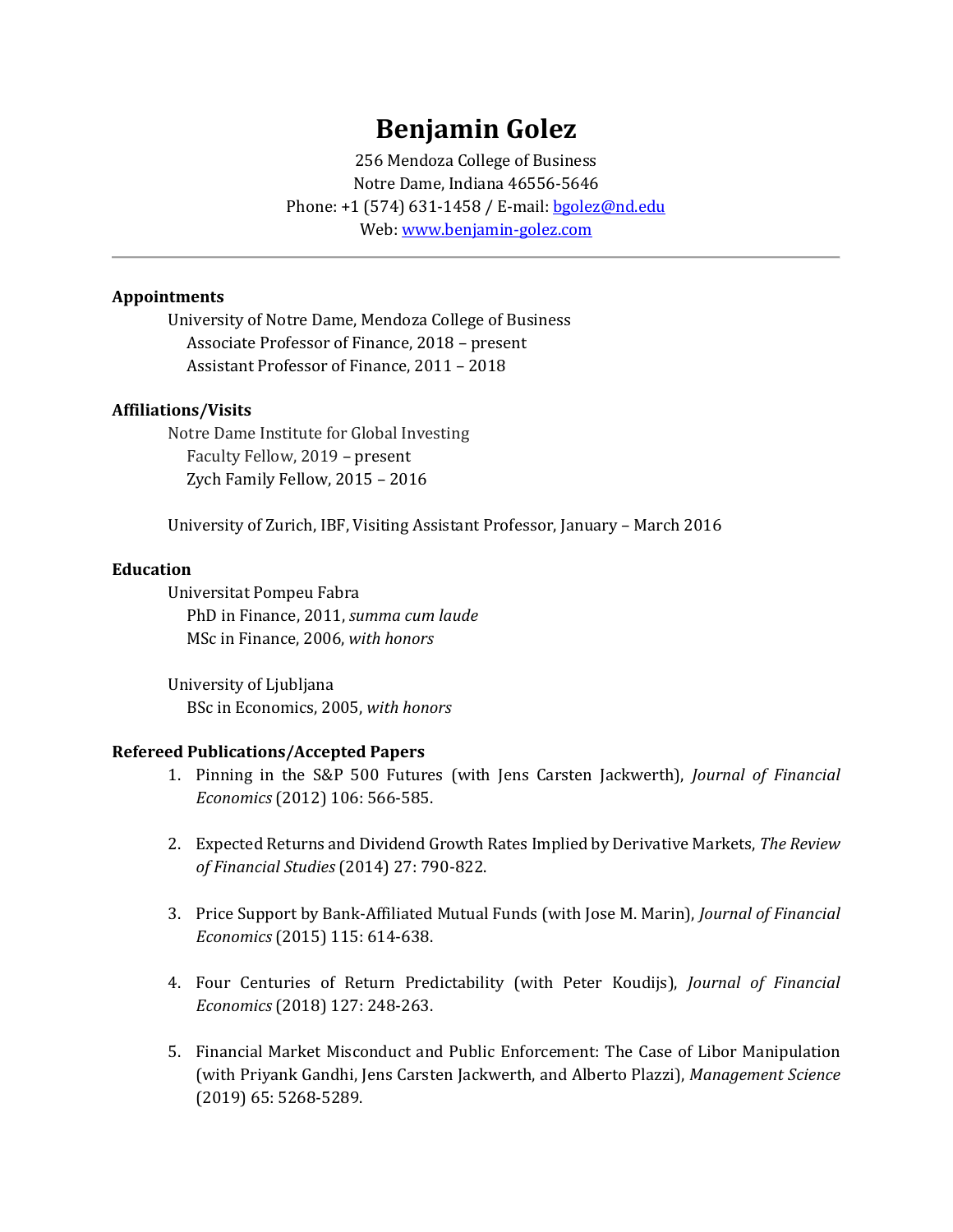# **Benjamin Golez**

256 Mendoza College of Business Notre Dame, Indiana 46556-5646 Phone: +1 (574) 631-1458 / E-mail[: bgolez@nd.edu](mailto:bgolez@nd.edu) Web: www.benjamin-golez.com

## **Appointments**

University of Notre Dame, Mendoza College of Business Associate Professor of Finance, 2018 – present Assistant Professor of Finance, 2011 – 2018

#### **Affiliations/Visits**

Notre Dame Institute for Global Investing Faculty Fellow, 2019 – present Zych Family Fellow, 2015 – 2016

University of Zurich, IBF, Visiting Assistant Professor, January – March 2016

#### **Education**

Universitat Pompeu Fabra PhD in Finance, 2011, *summa cum laude* MSc in Finance, 2006, *with honors*

University of Ljubljana BSc in Economics, 2005, *with honors*

#### **Refereed Publications/Accepted Papers**

- 1. Pinning in the S&P 500 Futures (with Jens Carsten Jackwerth), *Journal of Financial Economics* (2012) 106: 566-585.
- 2. Expected Returns and Dividend Growth Rates Implied by Derivative Markets, *The Review of Financial Studies* (2014) 27: 790-822.
- 3. Price Support by Bank-Affiliated Mutual Funds (with Jose M. Marin), *Journal of Financial Economics* (2015) 115: 614-638.
- 4. Four Centuries of Return Predictability (with Peter Koudijs), *Journal of Financial Economics* (2018) 127: 248-263.
- 5. Financial Market Misconduct and Public Enforcement: The Case of Libor Manipulation (with Priyank Gandhi, Jens Carsten Jackwerth, and Alberto Plazzi), *Management Science* (2019) 65: 5268-5289.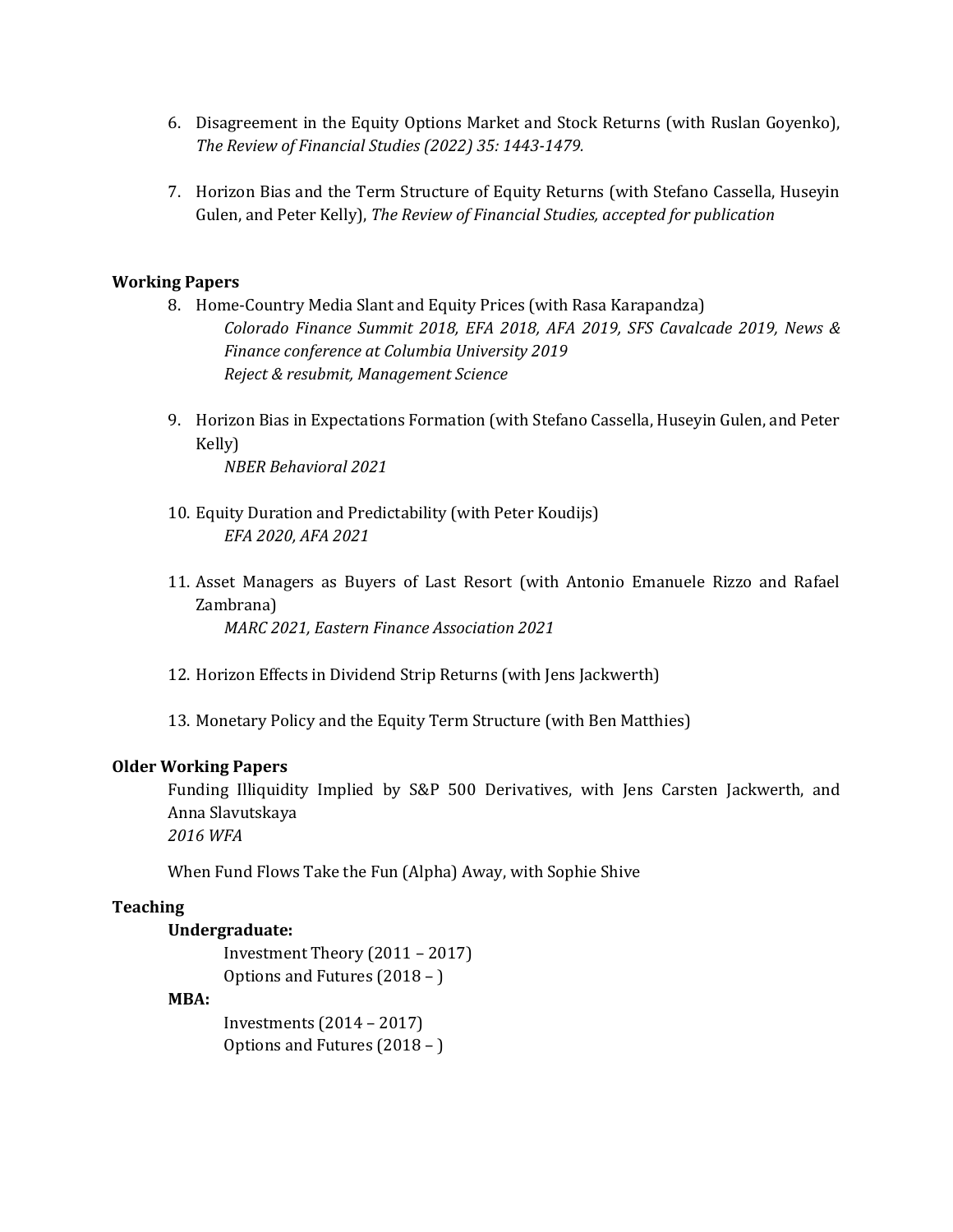- 6. Disagreement in the Equity Options Market and Stock Returns (with Ruslan Goyenko), *The Review of Financial Studies (2022) 35: 1443-1479.*
- 7. Horizon Bias and the Term Structure of Equity Returns (with Stefano Cassella, Huseyin Gulen, and Peter Kelly), *The Review of Financial Studies, accepted for publication*

## **Working Papers**

- 8. Home-Country Media Slant and Equity Prices (with Rasa Karapandza) *Colorado Finance Summit 2018, EFA 2018, AFA 2019, SFS Cavalcade 2019, News & Finance conference at Columbia University 2019 Reject & resubmit, Management Science*
- 9. Horizon Bias in Expectations Formation (with Stefano Cassella, Huseyin Gulen, and Peter Kelly)

*NBER Behavioral 2021*

- 10. Equity Duration and Predictability (with Peter Koudijs) *EFA 2020, AFA 2021*
- 11. Asset Managers as Buyers of Last Resort (with Antonio Emanuele Rizzo and Rafael Zambrana) *MARC 2021, Eastern Finance Association 2021*
- 12. Horizon Effects in Dividend Strip Returns (with Jens Jackwerth)
- 13. Monetary Policy and the Equity Term Structure (with Ben Matthies)

#### **Older Working Papers**

Funding Illiquidity Implied by S&P 500 Derivatives, with Jens Carsten Jackwerth, and Anna Slavutskaya

*2016 WFA*

When Fund Flows Take the Fun (Alpha) Away, with Sophie Shive

#### **Teaching**

#### **Undergraduate:**

Investment Theory (2011 – 2017) Options and Futures (2018 – )

#### **MBA:**

Investments (2014 – 2017) Options and Futures (2018 – )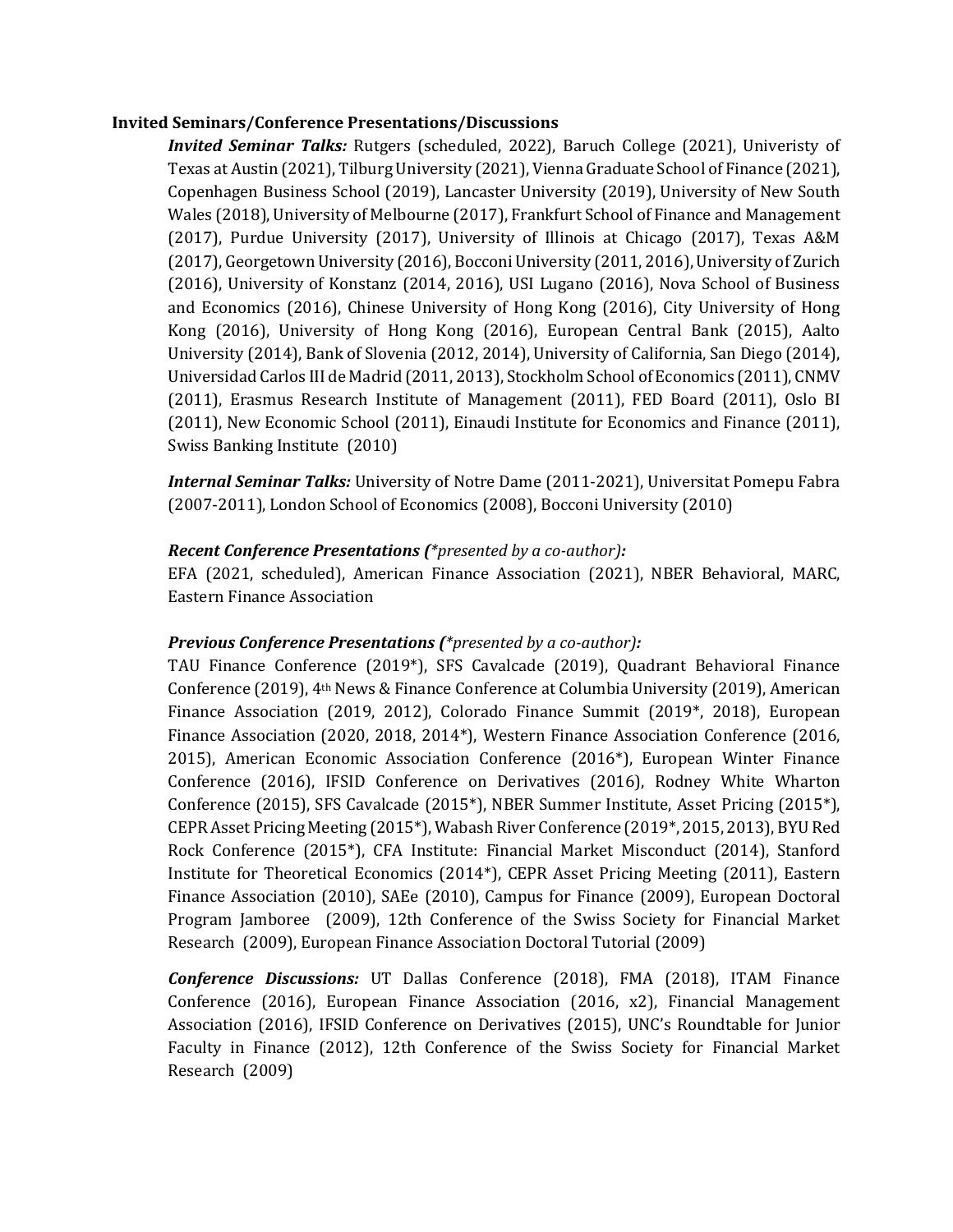#### **Invited Seminars/Conference Presentations/Discussions**

*Invited Seminar Talks:* Rutgers (scheduled, 2022), Baruch College (2021), Univeristy of Texas at Austin (2021), Tilburg University (2021), Vienna Graduate School of Finance (2021), Copenhagen Business School (2019), Lancaster University (2019), University of New South Wales (2018), University of Melbourne (2017), Frankfurt School of Finance and Management (2017), Purdue University (2017), University of Illinois at Chicago (2017), Texas A&M (2017), Georgetown University (2016), Bocconi University (2011, 2016), University of Zurich (2016), University of Konstanz (2014, 2016), USI Lugano (2016), Nova School of Business and Economics (2016), Chinese University of Hong Kong (2016), City University of Hong Kong (2016), University of Hong Kong (2016), European Central Bank (2015), Aalto University (2014), Bank of Slovenia (2012, 2014), University of California, San Diego (2014), Universidad Carlos III de Madrid (2011, 2013), Stockholm School of Economics (2011), CNMV (2011), Erasmus Research Institute of Management (2011), FED Board (2011), Oslo BI (2011), New Economic School (2011), Einaudi Institute for Economics and Finance (2011), Swiss Banking Institute (2010)

*Internal Seminar Talks:* University of Notre Dame (2011-2021), Universitat Pomepu Fabra (2007-2011), London School of Economics (2008), Bocconi University (2010)

## *Recent Conference Presentations (\*presented by a co-author):*

EFA (2021, scheduled), American Finance Association (2021), NBER Behavioral, MARC, Eastern Finance Association

## *Previous Conference Presentations (\*presented by a co-author):*

TAU Finance Conference (2019\*), SFS Cavalcade (2019), Quadrant Behavioral Finance Conference (2019), 4th News & Finance Conference at Columbia University (2019), American Finance Association (2019, 2012), Colorado Finance Summit (2019\*, 2018), European Finance Association (2020, 2018, 2014\*), Western Finance Association Conference (2016, 2015), American Economic Association Conference (2016\*), European Winter Finance Conference (2016), IFSID Conference on Derivatives (2016), Rodney White Wharton Conference (2015), SFS Cavalcade (2015\*), NBER Summer Institute, Asset Pricing (2015\*), CEPR Asset Pricing Meeting (2015\*), Wabash River Conference (2019\*, 2015, 2013), BYU Red Rock Conference (2015\*), CFA Institute: Financial Market Misconduct (2014), Stanford Institute for Theoretical Economics (2014\*), CEPR Asset Pricing Meeting (2011), Eastern Finance Association (2010), SAEe (2010), Campus for Finance (2009), European Doctoral Program Jamboree (2009), 12th Conference of the Swiss Society for Financial Market Research (2009), European Finance Association Doctoral Tutorial (2009)

*Conference Discussions:* UT Dallas Conference (2018), FMA (2018), ITAM Finance Conference (2016), European Finance Association (2016, x2), Financial Management Association (2016), IFSID Conference on Derivatives (2015), UNC's Roundtable for Junior Faculty in Finance (2012), 12th Conference of the Swiss Society for Financial Market Research (2009)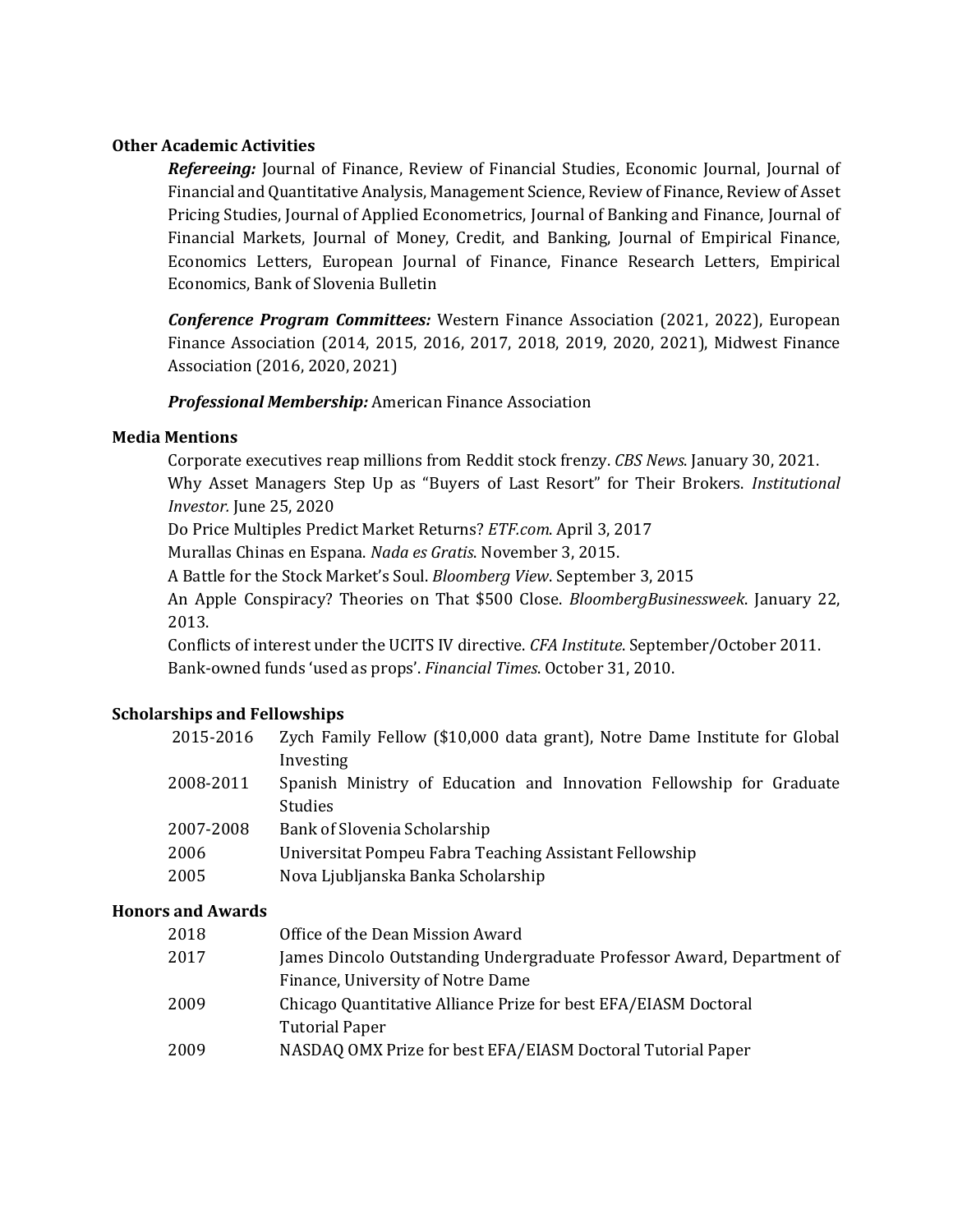## **Other Academic Activities**

*Refereeing:* Journal of Finance, Review of Financial Studies, Economic Journal, Journal of Financial and Quantitative Analysis, Management Science, Review of Finance, Review of Asset Pricing Studies, Journal of Applied Econometrics, Journal of Banking and Finance, Journal of Financial Markets, Journal of Money, Credit, and Banking, Journal of Empirical Finance, Economics Letters, European Journal of Finance, Finance Research Letters, Empirical Economics, Bank of Slovenia Bulletin

*Conference Program Committees:* Western Finance Association (2021, 2022), European Finance Association (2014, 2015, 2016, 2017, 2018, 2019, 2020, 2021), Midwest Finance Association (2016, 2020, 2021)

*Professional Membership:* American Finance Association

## **Media Mentions**

Corporate executives reap millions from Reddit stock frenzy. *CBS News*. January 30, 2021. Why Asset Managers Step Up as "Buyers of Last Resort" for Their Brokers. *Institutional Investor.* June 25, 2020

Do Price Multiples Predict Market Returns? *ETF.com*. April 3, 2017

Murallas Chinas en Espana. *Nada es Gratis*. November 3, 2015.

A Battle for the Stock Market's Soul. *Bloomberg View*. September 3, 2015

An Apple Conspiracy? Theories on That \$500 Close. *BloombergBusinessweek*. January 22, 2013.

Conflicts of interest under the UCITS IV directive. *CFA Institute*. September/October 2011. Bank-owned funds 'used as props'. *Financial Times*. October 31, 2010.

## **Scholarships and Fellowships**

| 2015-2016                                                                         | Zych Family Fellow (\$10,000 data grant), Notre Dame Institute for Global |  |
|-----------------------------------------------------------------------------------|---------------------------------------------------------------------------|--|
| Investing                                                                         |                                                                           |  |
| 2008-2011<br>Spanish Ministry of Education and Innovation Fellowship for Graduate |                                                                           |  |
| <b>Studies</b>                                                                    |                                                                           |  |
| Bank of Slovenia Scholarship<br>2007-2008                                         |                                                                           |  |
| Universitat Pompeu Fabra Teaching Assistant Fellowship<br>2006                    |                                                                           |  |
| 2005<br>Nova Ljubljanska Banka Scholarship                                        |                                                                           |  |

## **Honors and Awards**

| 2018 | Office of the Dean Mission Award                                       |
|------|------------------------------------------------------------------------|
| 2017 | James Dincolo Outstanding Undergraduate Professor Award, Department of |
|      | Finance, University of Notre Dame                                      |
| 2009 | Chicago Quantitative Alliance Prize for best EFA/EIASM Doctoral        |
|      | <b>Tutorial Paper</b>                                                  |
| 2009 | NASDAQ OMX Prize for best EFA/EIASM Doctoral Tutorial Paper            |